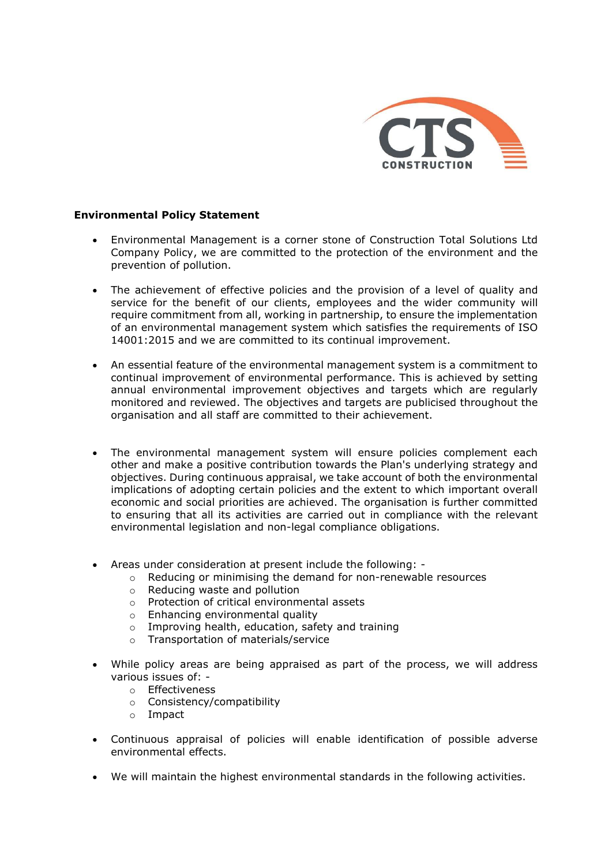

## Environmental Policy Statement

- Environmental Management is a corner stone of Construction Total Solutions Ltd Company Policy, we are committed to the protection of the environment and the prevention of pollution.
- The achievement of effective policies and the provision of a level of quality and service for the benefit of our clients, employees and the wider community will require commitment from all, working in partnership, to ensure the implementation of an environmental management system which satisfies the requirements of ISO 14001:2015 and we are committed to its continual improvement.
- An essential feature of the environmental management system is a commitment to continual improvement of environmental performance. This is achieved by setting annual environmental improvement objectives and targets which are regularly monitored and reviewed. The objectives and targets are publicised throughout the organisation and all staff are committed to their achievement.
- The environmental management system will ensure policies complement each other and make a positive contribution towards the Plan's underlying strategy and objectives. During continuous appraisal, we take account of both the environmental implications of adopting certain policies and the extent to which important overall economic and social priorities are achieved. The organisation is further committed to ensuring that all its activities are carried out in compliance with the relevant environmental legislation and non-legal compliance obligations.
- Areas under consideration at present include the following:
	- o Reducing or minimising the demand for non-renewable resources
	- o Reducing waste and pollution
	- o Protection of critical environmental assets
	- o Enhancing environmental quality
	- o Improving health, education, safety and training
	- o Transportation of materials/service
- While policy areas are being appraised as part of the process, we will address various issues of:
	- o Effectiveness
	- o Consistency/compatibility
	- o Impact
- Continuous appraisal of policies will enable identification of possible adverse environmental effects.
- We will maintain the highest environmental standards in the following activities.